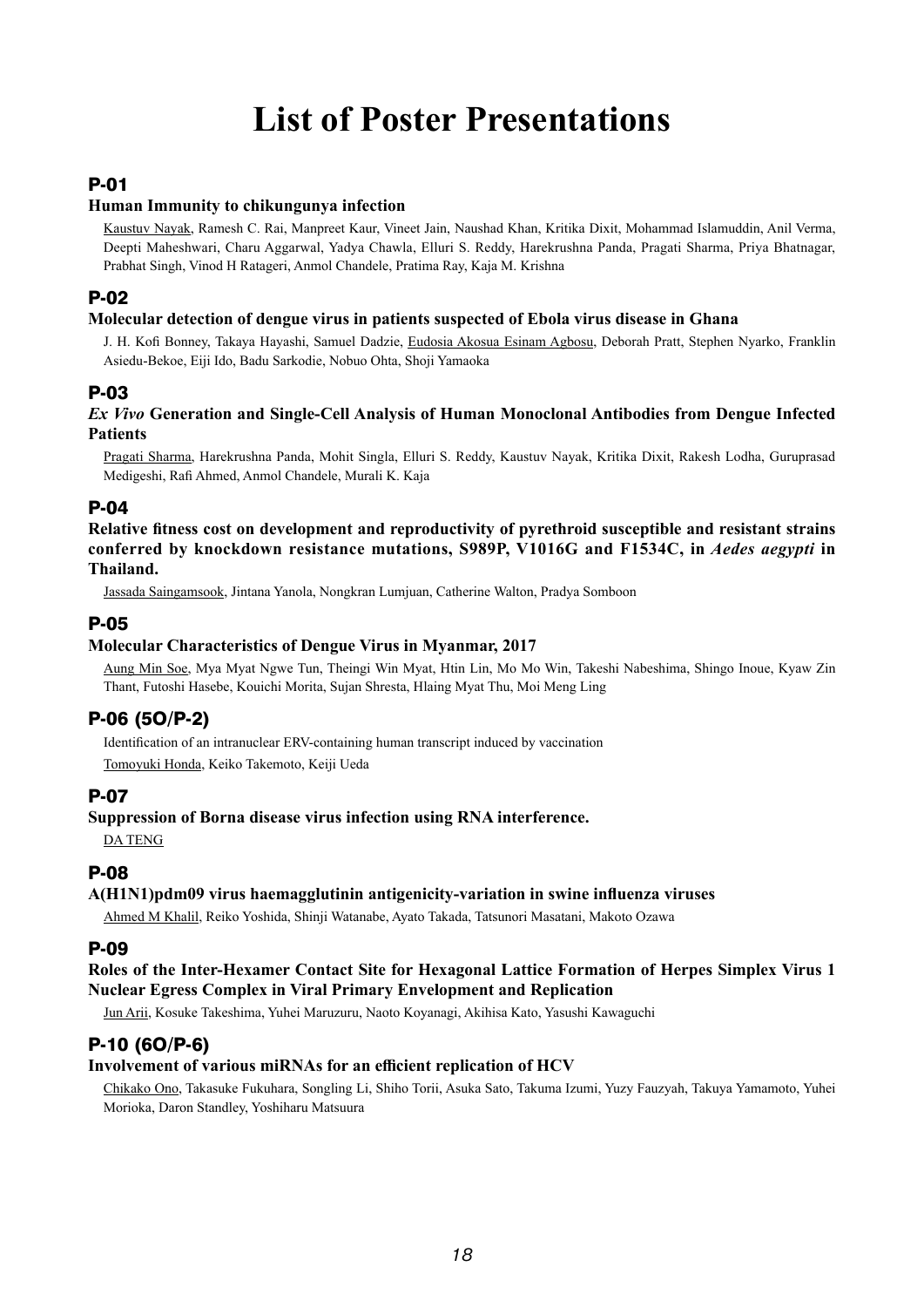# **List of Poster Presentations**

### P-01

#### **Human Immunity to chikungunya infection**

Kaustuv Nayak, Ramesh C. Rai, Manpreet Kaur, Vineet Jain, Naushad Khan, Kritika Dixit, Mohammad Islamuddin, Anil Verma, Deepti Maheshwari, Charu Aggarwal, Yadya Chawla, Elluri S. Reddy, Harekrushna Panda, Pragati Sharma, Priya Bhatnagar, Prabhat Singh, Vinod H Ratageri, Anmol Chandele, Pratima Ray, Kaja M. Krishna

### P-02

#### **Molecular detection of dengue virus in patients suspected of Ebola virus disease in Ghana**

J. H. Kofi Bonney, Takaya Hayashi, Samuel Dadzie, Eudosia Akosua Esinam Agbosu, Deborah Pratt, Stephen Nyarko, Franklin Asiedu-Bekoe, Eiji Ido, Badu Sarkodie, Nobuo Ohta, Shoji Yamaoka

#### P-03

#### *Ex Vivo* **Generation and Single-Cell Analysis of Human Monoclonal Antibodies from Dengue Infected Patients**

Pragati Sharma, Harekrushna Panda, Mohit Singla, Elluri S. Reddy, Kaustuv Nayak, Kritika Dixit, Rakesh Lodha, Guruprasad Medigeshi, Rafi Ahmed, Anmol Chandele, Murali K. Kaja

#### P-04

**Relative fitness cost on development and reproductivity of pyrethroid susceptible and resistant strains conferred by knockdown resistance mutations, S989P, V1016G and F1534C, in** *Aedes aegypti* **in Thailand.**

Jassada Saingamsook, Jintana Yanola, Nongkran Lumjuan, Catherine Walton, Pradya Somboon

### P-05

#### **Molecular Characteristics of Dengue Virus in Myanmar, 2017**

Aung Min Soe, Mya Myat Ngwe Tun, Theingi Win Myat, Htin Lin, Mo Mo Win, Takeshi Nabeshima, Shingo Inoue, Kyaw Zin Thant, Futoshi Hasebe, Kouichi Morita, Sujan Shresta, Hlaing Myat Thu, Moi Meng Ling

# P-06 (5O/P-2)

Identification of an intranuclear ERV-containing human transcript induced by vaccination Tomoyuki Honda, Keiko Takemoto, Keiji Ueda

#### P-07

#### **Suppression of Borna disease virus infection using RNA interference.**

DA TENG

#### P-08

#### **A(H1N1)pdm09 virus haemagglutinin antigenicity-variation in swine influenza viruses**

Ahmed M Khalil, Reiko Yoshida, Shinji Watanabe, Ayato Takada, Tatsunori Masatani, Makoto Ozawa

#### P-09

#### **Roles of the Inter-Hexamer Contact Site for Hexagonal Lattice Formation of Herpes Simplex Virus 1 Nuclear Egress Complex in Viral Primary Envelopment and Replication**

Jun Arii, Kosuke Takeshima, Yuhei Maruzuru, Naoto Koyanagi, Akihisa Kato, Yasushi Kawaguchi

# P-10 (6O/P-6)

#### **Involvement of various miRNAs for an efficient replication of HCV**

Chikako Ono, Takasuke Fukuhara, Songling Li, Shiho Torii, Asuka Sato, Takuma Izumi, Yuzy Fauzyah, Takuya Yamamoto, Yuhei Morioka, Daron Standley, Yoshiharu Matsuura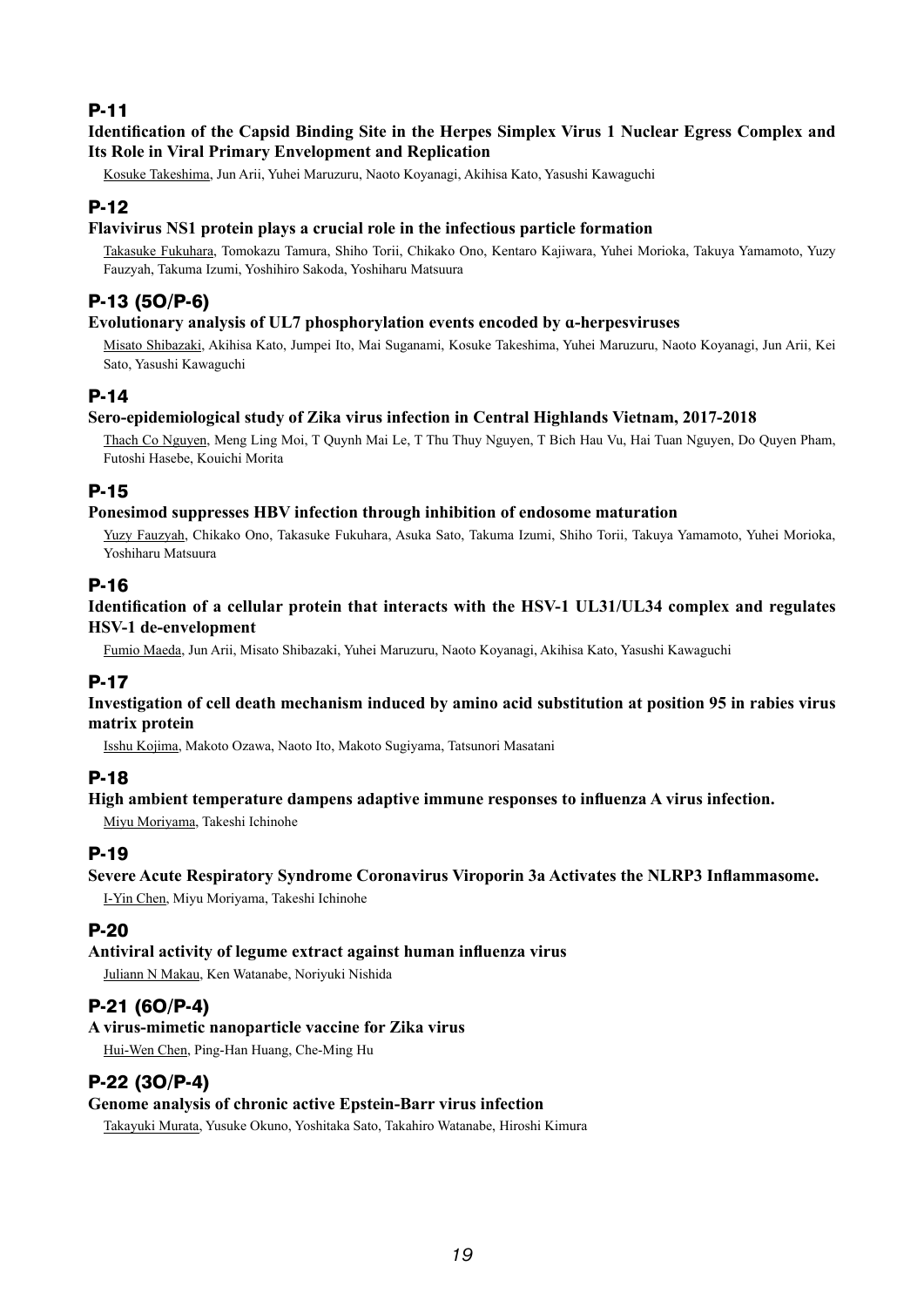#### **Identification of the Capsid Binding Site in the Herpes Simplex Virus 1 Nuclear Egress Complex and Its Role in Viral Primary Envelopment and Replication**

Kosuke Takeshima, Jun Arii, Yuhei Maruzuru, Naoto Koyanagi, Akihisa Kato, Yasushi Kawaguchi

# P-12

#### **Flavivirus NS1 protein plays a crucial role in the infectious particle formation**

Takasuke Fukuhara, Tomokazu Tamura, Shiho Torii, Chikako Ono, Kentaro Kajiwara, Yuhei Morioka, Takuya Yamamoto, Yuzy Fauzyah, Takuma Izumi, Yoshihiro Sakoda, Yoshiharu Matsuura

# P-13 (5O/P-6)

#### **Evolutionary analysis of UL7 phosphorylation events encoded by ɑ-herpesviruses**

Misato Shibazaki, Akihisa Kato, Jumpei Ito, Mai Suganami, Kosuke Takeshima, Yuhei Maruzuru, Naoto Koyanagi, Jun Arii, Kei Sato, Yasushi Kawaguchi

#### P-14

#### **Sero-epidemiological study of Zika virus infection in Central Highlands Vietnam, 2017-2018**

Thach Co Nguyen, Meng Ling Moi, T Quynh Mai Le, T Thu Thuy Nguyen, T Bich Hau Vu, Hai Tuan Nguyen, Do Quyen Pham, Futoshi Hasebe, Kouichi Morita

#### P-15

#### **Ponesimod suppresses HBV infection through inhibition of endosome maturation**

Yuzy Fauzyah, Chikako Ono, Takasuke Fukuhara, Asuka Sato, Takuma Izumi, Shiho Torii, Takuya Yamamoto, Yuhei Morioka, Yoshiharu Matsuura

#### P-16

#### **Identification of a cellular protein that interacts with the HSV-1 UL31/UL34 complex and regulates HSV-1 de-envelopment**

Fumio Maeda, Jun Arii, Misato Shibazaki, Yuhei Maruzuru, Naoto Koyanagi, Akihisa Kato, Yasushi Kawaguchi

#### P-17

#### **Investigation of cell death mechanism induced by amino acid substitution at position 95 in rabies virus matrix protein**

Isshu Kojima, Makoto Ozawa, Naoto Ito, Makoto Sugiyama, Tatsunori Masatani

#### P-18

#### **High ambient temperature dampens adaptive immune responses to influenza A virus infection.**

Miyu Moriyama, Takeshi Ichinohe

#### P-19

#### **Severe Acute Respiratory Syndrome Coronavirus Viroporin 3a Activates the NLRP3 Inflammasome.**

I-Yin Chen, Miyu Moriyama, Takeshi Ichinohe

#### P-20

#### **Antiviral activity of legume extract against human influenza virus**

Juliann N Makau, Ken Watanabe, Noriyuki Nishida

#### P-21 (6O/P-4)

#### **A virus-mimetic nanoparticle vaccine for Zika virus**

Hui-Wen Chen, Ping-Han Huang, Che-Ming Hu

### P-22 (3O/P-4)

#### **Genome analysis of chronic active Epstein-Barr virus infection**

Takayuki Murata, Yusuke Okuno, Yoshitaka Sato, Takahiro Watanabe, Hiroshi Kimura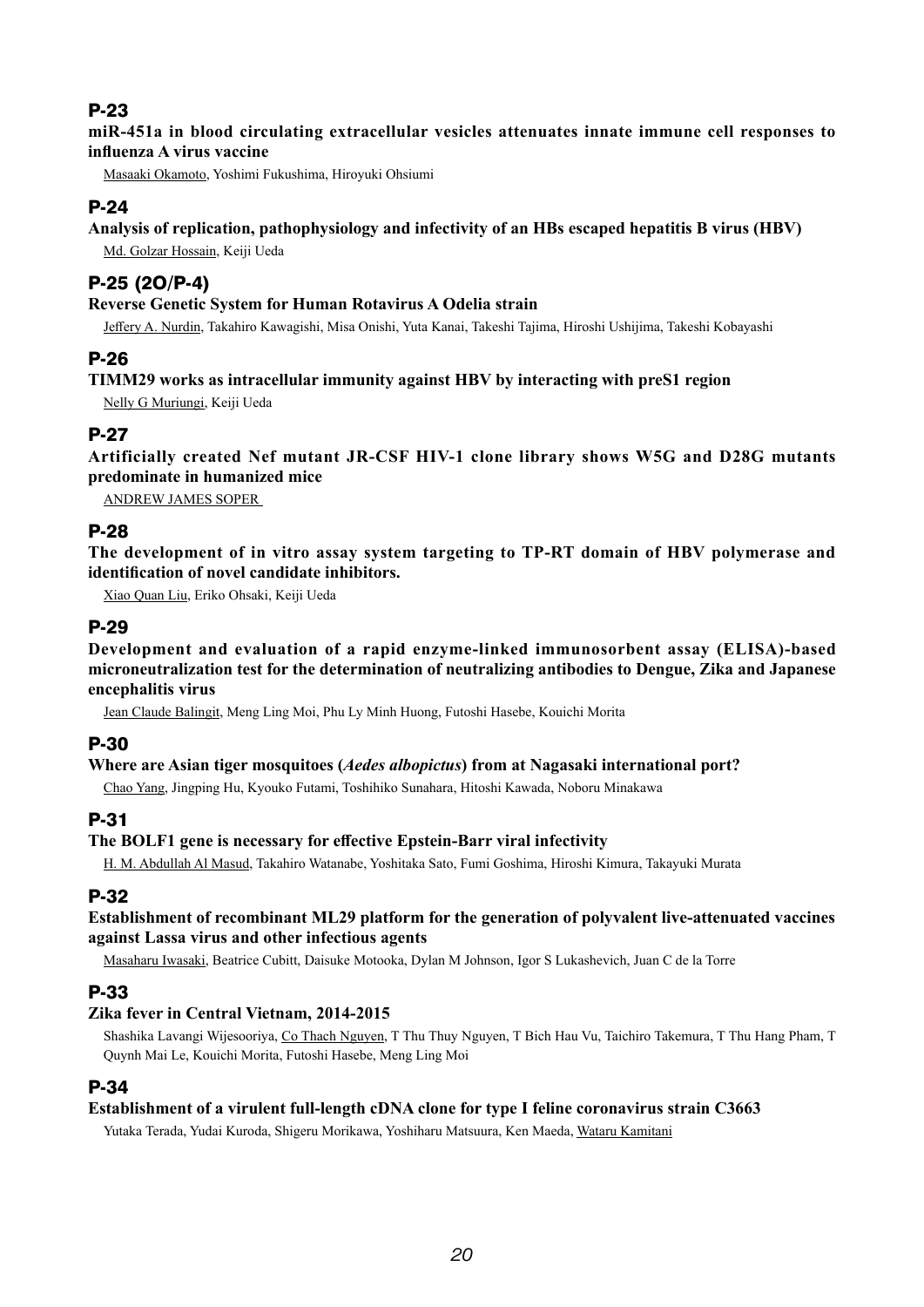**miR-451a in blood circulating extracellular vesicles attenuates innate immune cell responses to influenza A virus vaccine**

Masaaki Okamoto, Yoshimi Fukushima, Hiroyuki Ohsiumi

# P-24

**Analysis of replication, pathophysiology and infectivity of an HBs escaped hepatitis B virus (HBV)**

Md. Golzar Hossain, Keiji Ueda

# P-25 (2O/P-4)

#### **Reverse Genetic System for Human Rotavirus A Odelia strain**

Jeffery A. Nurdin, Takahiro Kawagishi, Misa Onishi, Yuta Kanai, Takeshi Tajima, Hiroshi Ushijima, Takeshi Kobayashi

# P-26

#### **TIMM29 works as intracellular immunity against HBV by interacting with preS1 region**

Nelly G Muriungi, Keiji Ueda

# P-27

**Artificially created Nef mutant JR-CSF HIV-1 clone library shows W5G and D28G mutants predominate in humanized mice**

ANDREW JAMES SOPER

### P-28

**The development of in vitro assay system targeting to TP-RT domain of HBV polymerase and identification of novel candidate inhibitors.**

Xiao Quan Liu, Eriko Ohsaki, Keiji Ueda

### P-29

**Development and evaluation of a rapid enzyme-linked immunosorbent assay (ELISA)-based microneutralization test for the determination of neutralizing antibodies to Dengue, Zika and Japanese encephalitis virus**

Jean Claude Balingit, Meng Ling Moi, Phu Ly Minh Huong, Futoshi Hasebe, Kouichi Morita

#### P-30

#### **Where are Asian tiger mosquitoes (***Aedes albopictus***) from at Nagasaki international port?**

Chao Yang, Jingping Hu, Kyouko Futami, Toshihiko Sunahara, Hitoshi Kawada, Noboru Minakawa

# P-31

#### **The BOLF1 gene is necessary for effective Epstein-Barr viral infectivity**

H. M. Abdullah Al Masud, Takahiro Watanabe, Yoshitaka Sato, Fumi Goshima, Hiroshi Kimura, Takayuki Murata

# P-32

#### **Establishment of recombinant ML29 platform for the generation of polyvalent live-attenuated vaccines against Lassa virus and other infectious agents**

Masaharu Iwasaki, Beatrice Cubitt, Daisuke Motooka, Dylan M Johnson, Igor S Lukashevich, Juan C de la Torre

# P-33

#### **Zika fever in Central Vietnam, 2014-2015**

Shashika Lavangi Wijesooriya, Co Thach Nguyen, T Thu Thuy Nguyen, T Bich Hau Vu, Taichiro Takemura, T Thu Hang Pham, T Quynh Mai Le, Kouichi Morita, Futoshi Hasebe, Meng Ling Moi

# P-34

#### **Establishment of a virulent full-length cDNA clone for type I feline coronavirus strain C3663**

Yutaka Terada, Yudai Kuroda, Shigeru Morikawa, Yoshiharu Matsuura, Ken Maeda, Wataru Kamitani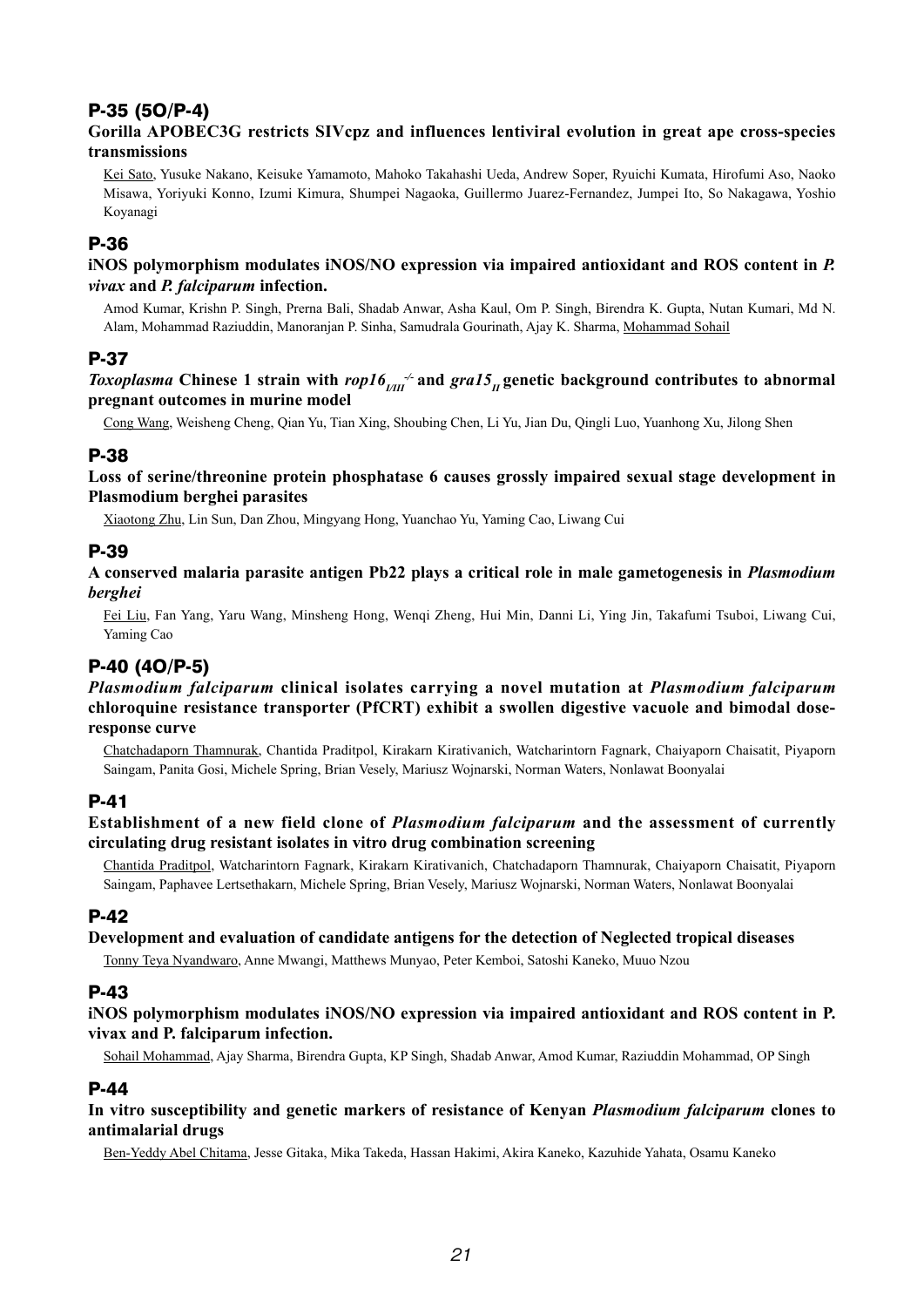# P-35 (5O/P-4)

#### **Gorilla APOBEC3G restricts SIVcpz and influences lentiviral evolution in great ape cross-species transmissions**

Kei Sato, Yusuke Nakano, Keisuke Yamamoto, Mahoko Takahashi Ueda, Andrew Soper, Ryuichi Kumata, Hirofumi Aso, Naoko Misawa, Yoriyuki Konno, Izumi Kimura, Shumpei Nagaoka, Guillermo Juarez-Fernandez, Jumpei Ito, So Nakagawa, Yoshio Koyanagi

### P-36

**iNOS polymorphism modulates iNOS/NO expression via impaired antioxidant and ROS content in** *P. vivax* **and** *P. falciparum* **infection.**

Amod Kumar, Krishn P. Singh, Prerna Bali, Shadab Anwar, Asha Kaul, Om P. Singh, Birendra K. Gupta, Nutan Kumari, Md N. Alam, Mohammad Raziuddin, Manoranjan P. Sinha, Samudrala Gourinath, Ajay K. Sharma, Mohammad Sohail

#### P-37

#### *Toxoplasma* Chinese 1 strain with  $\text{rop16}_{\text{III}}$  and  $\text{grad5}_{\text{II}}$  genetic background contributes to abnormal **pregnant outcomes in murine model**

Cong Wang, Weisheng Cheng, Qian Yu, Tian Xing, Shoubing Chen, Li Yu, Jian Du, Qingli Luo, Yuanhong Xu, Jilong Shen

#### P-38

**Loss of serine/threonine protein phosphatase 6 causes grossly impaired sexual stage development in Plasmodium berghei parasites**

Xiaotong Zhu, Lin Sun, Dan Zhou, Mingyang Hong, Yuanchao Yu, Yaming Cao, Liwang Cui

### P-39

**A conserved malaria parasite antigen Pb22 plays a critical role in male gametogenesis in** *Plasmodium berghei*

Fei Liu, Fan Yang, Yaru Wang, Minsheng Hong, Wenqi Zheng, Hui Min, Danni Li, Ying Jin, Takafumi Tsuboi, Liwang Cui, Yaming Cao

# P-40 (4O/P-5)

*Plasmodium falciparum* **clinical isolates carrying a novel mutation at** *Plasmodium falciparum* **chloroquine resistance transporter (PfCRT) exhibit a swollen digestive vacuole and bimodal doseresponse curve**

Chatchadaporn Thamnurak, Chantida Praditpol, Kirakarn Kirativanich, Watcharintorn Fagnark, Chaiyaporn Chaisatit, Piyaporn Saingam, Panita Gosi, Michele Spring, Brian Vesely, Mariusz Wojnarski, Norman Waters, Nonlawat Boonyalai

#### P-41

#### **Establishment of a new field clone of** *Plasmodium falciparum* **and the assessment of currently circulating drug resistant isolates in vitro drug combination screening**

Chantida Praditpol, Watcharintorn Fagnark, Kirakarn Kirativanich, Chatchadaporn Thamnurak, Chaiyaporn Chaisatit, Piyaporn Saingam, Paphavee Lertsethakarn, Michele Spring, Brian Vesely, Mariusz Wojnarski, Norman Waters, Nonlawat Boonyalai

#### P-42

#### **Development and evaluation of candidate antigens for the detection of Neglected tropical diseases**

Tonny Teya Nyandwaro, Anne Mwangi, Matthews Munyao, Peter Kemboi, Satoshi Kaneko, Muuo Nzou

#### P-43

**iNOS polymorphism modulates iNOS/NO expression via impaired antioxidant and ROS content in P. vivax and P. falciparum infection.**

Sohail Mohammad, Ajay Sharma, Birendra Gupta, KP Singh, Shadab Anwar, Amod Kumar, Raziuddin Mohammad, OP Singh

# P-44

#### **In vitro susceptibility and genetic markers of resistance of Kenyan** *Plasmodium falciparum* **clones to antimalarial drugs**

Ben-Yeddy Abel Chitama, Jesse Gitaka, Mika Takeda, Hassan Hakimi, Akira Kaneko, Kazuhide Yahata, Osamu Kaneko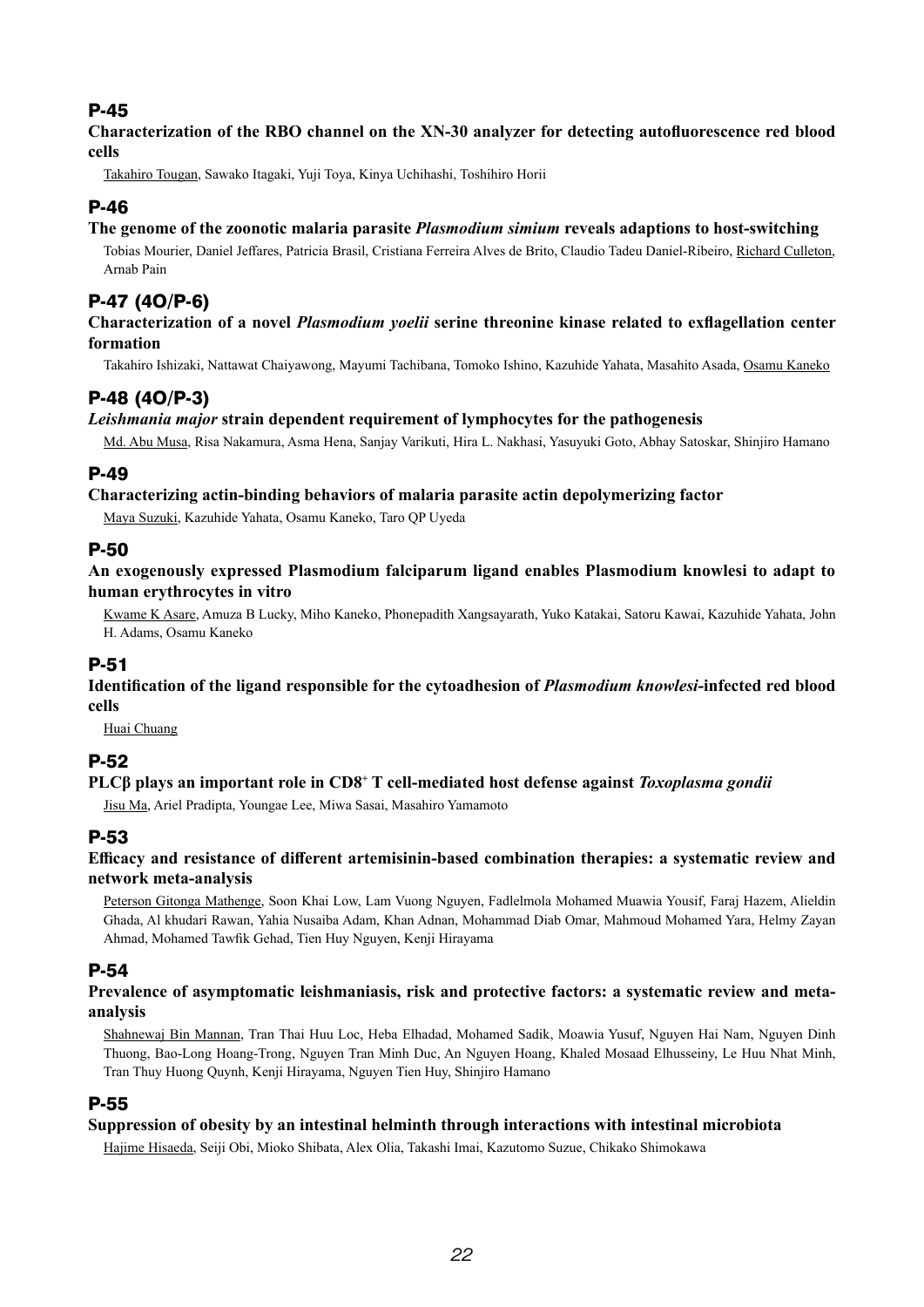**Characterization of the RBO channel on the XN-30 analyzer for detecting autofluorescence red blood cells**

Takahiro Tougan, Sawako Itagaki, Yuji Toya, Kinya Uchihashi, Toshihiro Horii

# P-46

#### **The genome of the zoonotic malaria parasite** *Plasmodium simium* **reveals adaptions to host-switching**

Tobias Mourier, Daniel Jeffares, Patricia Brasil, Cristiana Ferreira Alves de Brito, Claudio Tadeu Daniel-Ribeiro, Richard Culleton, Arnab Pain

# P-47 (4O/P-6)

#### **Characterization of a novel** *Plasmodium yoelii* **serine threonine kinase related to exflagellation center formation**

Takahiro Ishizaki, Nattawat Chaiyawong, Mayumi Tachibana, Tomoko Ishino, Kazuhide Yahata, Masahito Asada, Osamu Kaneko

# P-48 (4O/P-3)

#### *Leishmania major* **strain dependent requirement of lymphocytes for the pathogenesis**

Md. Abu Musa, Risa Nakamura, Asma Hena, Sanjay Varikuti, Hira L. Nakhasi, Yasuyuki Goto, Abhay Satoskar, Shinjiro Hamano

### P-49

#### **Characterizing actin-binding behaviors of malaria parasite actin depolymerizing factor**

Maya Suzuki, Kazuhide Yahata, Osamu Kaneko, Taro QP Uyeda

### P-50

**An exogenously expressed Plasmodium falciparum ligand enables Plasmodium knowlesi to adapt to human erythrocytes in vitro**

Kwame K Asare, Amuza B Lucky, Miho Kaneko, Phonepadith Xangsayarath, Yuko Katakai, Satoru Kawai, Kazuhide Yahata, John H. Adams, Osamu Kaneko

# P-51

**Identification of the ligand responsible for the cytoadhesion of** *Plasmodium knowlesi***-infected red blood cells**

Huai Chuang

#### P-52

#### **PLCβ plays an important role in CD8<sup>+</sup> T cell-mediated host defense against** *Toxoplasma gondii*

Jisu Ma, Ariel Pradipta, Youngae Lee, Miwa Sasai, Masahiro Yamamoto

# P-53

#### **Efficacy and resistance of different artemisinin-based combination therapies: a systematic review and network meta-analysis**

Peterson Gitonga Mathenge, Soon Khai Low, Lam Vuong Nguyen, Fadlelmola Mohamed Muawia Yousif, Faraj Hazem, Alieldin Ghada, Al khudari Rawan, Yahia Nusaiba Adam, Khan Adnan, Mohammad Diab Omar, Mahmoud Mohamed Yara, Helmy Zayan Ahmad, Mohamed Tawfik Gehad, Tien Huy Nguyen, Kenji Hirayama

# P-54

#### **Prevalence of asymptomatic leishmaniasis, risk and protective factors: a systematic review and metaanalysis**

Shahnewaj Bin Mannan, Tran Thai Huu Loc, Heba Elhadad, Mohamed Sadik, Moawia Yusuf, Nguyen Hai Nam, Nguyen Dinh Thuong, Bao-Long Hoang-Trong, Nguyen Tran Minh Duc, An Nguyen Hoang, Khaled Mosaad Elhusseiny, Le Huu Nhat Minh, Tran Thuy Huong Quynh, Kenji Hirayama, Nguyen Tien Huy, Shinjiro Hamano

# P-55

#### **Suppression of obesity by an intestinal helminth through interactions with intestinal microbiota**

Hajime Hisaeda, Seiji Obi, Mioko Shibata, Alex Olia, Takashi Imai, Kazutomo Suzue, Chikako Shimokawa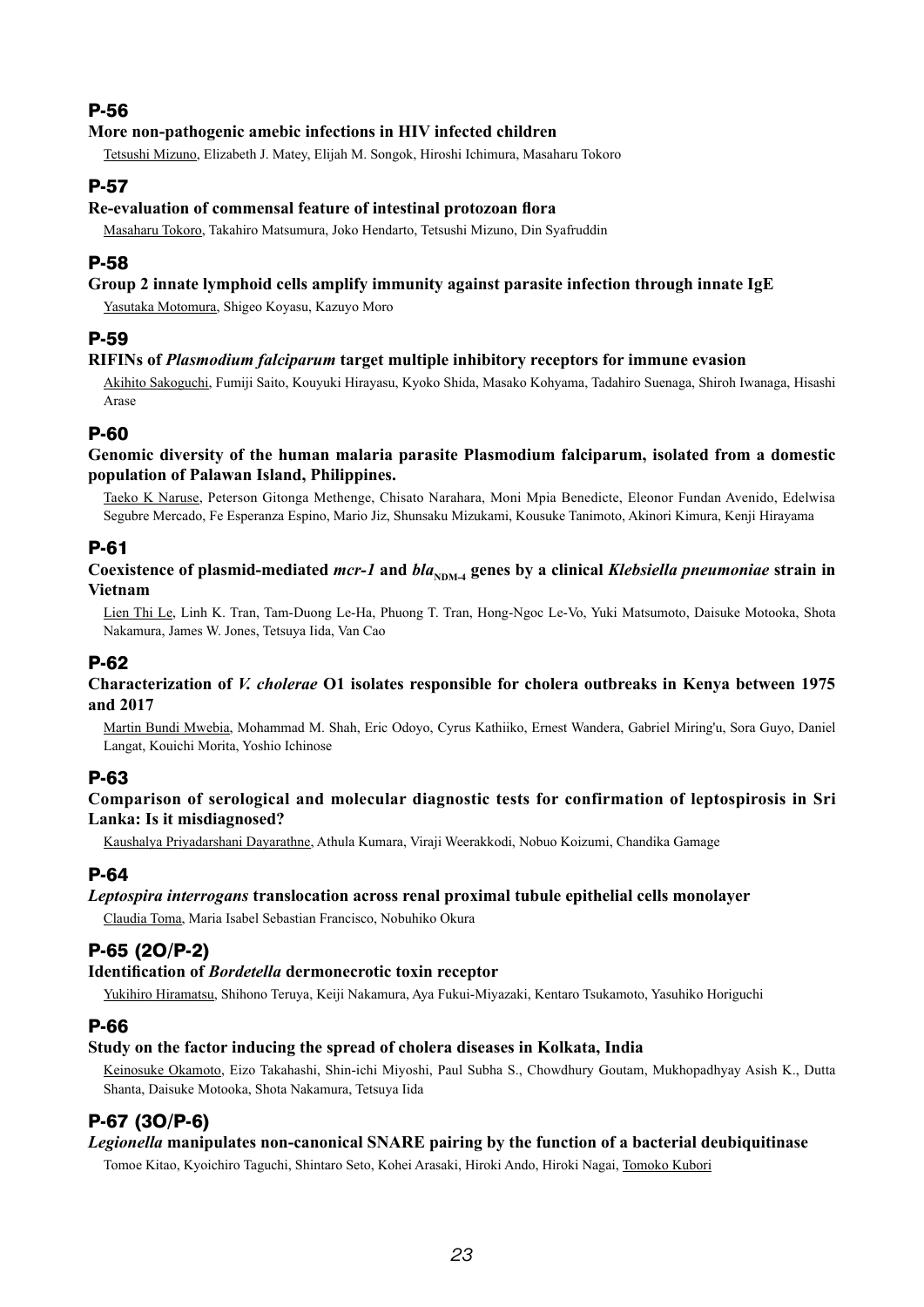### **More non-pathogenic amebic infections in HIV infected children**

Tetsushi Mizuno, Elizabeth J. Matey, Elijah M. Songok, Hiroshi Ichimura, Masaharu Tokoro

# P-57

#### **Re-evaluation of commensal feature of intestinal protozoan flora**

Masaharu Tokoro, Takahiro Matsumura, Joko Hendarto, Tetsushi Mizuno, Din Syafruddin

# P-58

### **Group 2 innate lymphoid cells amplify immunity against parasite infection through innate IgE**

Yasutaka Motomura, Shigeo Koyasu, Kazuyo Moro

# P-59

#### **RIFINs of** *Plasmodium falciparum* **target multiple inhibitory receptors for immune evasion**

Akihito Sakoguchi, Fumiji Saito, Kouyuki Hirayasu, Kyoko Shida, Masako Kohyama, Tadahiro Suenaga, Shiroh Iwanaga, Hisashi Arase

# P-60

#### **Genomic diversity of the human malaria parasite Plasmodium falciparum, isolated from a domestic population of Palawan Island, Philippines.**

Taeko K Naruse, Peterson Gitonga Methenge, Chisato Narahara, Moni Mpia Benedicte, Eleonor Fundan Avenido, Edelwisa Segubre Mercado, Fe Esperanza Espino, Mario Jiz, Shunsaku Mizukami, Kousuke Tanimoto, Akinori Kimura, Kenji Hirayama

# P-61

#### **Coexistence of plasmid-mediated** *mcr-1* **and** *bla***<sub>NDM-4</sub> genes by a clinical** *Klebsiella pneumoniae* **strain in Vietnam**

Lien Thi Le, Linh K. Tran, Tam-Duong Le-Ha, Phuong T. Tran, Hong-Ngoc Le-Vo, Yuki Matsumoto, Daisuke Motooka, Shota Nakamura, James W. Jones, Tetsuya Iida, Van Cao

# P-62

#### **Characterization of** *V. cholerae* **O1 isolates responsible for cholera outbreaks in Kenya between 1975 and 2017**

Martin Bundi Mwebia, Mohammad M. Shah, Eric Odoyo, Cyrus Kathiiko, Ernest Wandera, Gabriel Miring'u, Sora Guyo, Daniel Langat, Kouichi Morita, Yoshio Ichinose

# P-63

#### **Comparison of serological and molecular diagnostic tests for confirmation of leptospirosis in Sri Lanka: Is it misdiagnosed?**

Kaushalya Priyadarshani Dayarathne, Athula Kumara, Viraji Weerakkodi, Nobuo Koizumi, Chandika Gamage

# P-64

#### *Leptospira interrogans* **translocation across renal proximal tubule epithelial cells monolayer**

Claudia Toma, Maria Isabel Sebastian Francisco, Nobuhiko Okura

# P-65 (2O/P-2)

#### **Identification of** *Bordetella* **dermonecrotic toxin receptor**

Yukihiro Hiramatsu, Shihono Teruya, Keiji Nakamura, Aya Fukui-Miyazaki, Kentaro Tsukamoto, Yasuhiko Horiguchi

# P-66

#### **Study on the factor inducing the spread of cholera diseases in Kolkata, India**

Keinosuke Okamoto, Eizo Takahashi, Shin-ichi Miyoshi, Paul Subha S., Chowdhury Goutam, Mukhopadhyay Asish K., Dutta Shanta, Daisuke Motooka, Shota Nakamura, Tetsuya Iida

# P-67 (3O/P-6)

#### *Legionella* **manipulates non-canonical SNARE pairing by the function of a bacterial deubiquitinase**

Tomoe Kitao, Kyoichiro Taguchi, Shintaro Seto, Kohei Arasaki, Hiroki Ando, Hiroki Nagai, Tomoko Kubori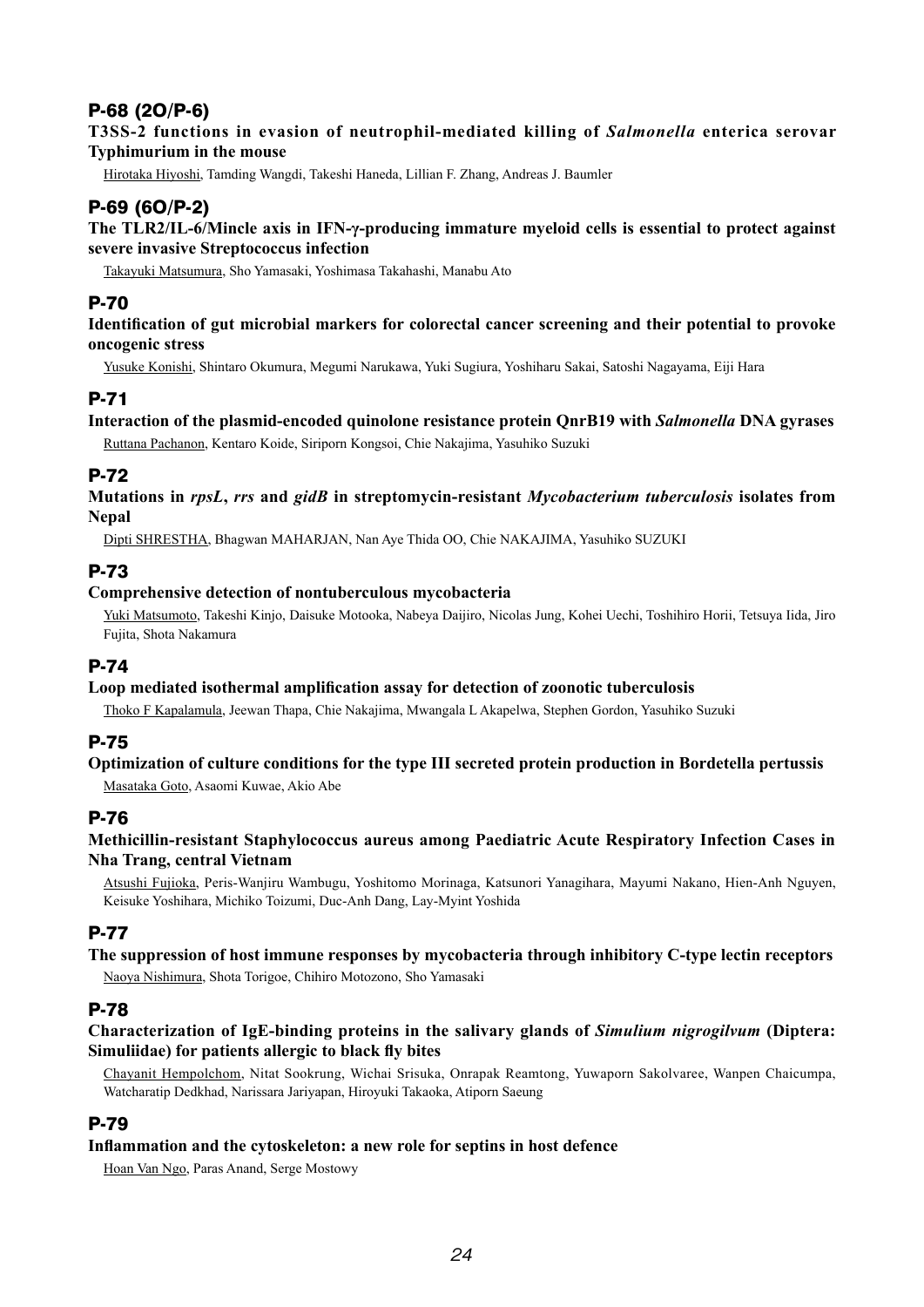# P-68 (2O/P-6)

#### **T3SS-2 functions in evasion of neutrophil-mediated killing of** *Salmonella* **enterica serovar Typhimurium in the mouse**

Hirotaka Hiyoshi, Tamding Wangdi, Takeshi Haneda, Lillian F. Zhang, Andreas J. Baumler

# P-69 (6O/P-2)

#### **The TLR2/IL-6/Mincle axis in IFN-γ-producing immature myeloid cells is essential to protect against severe invasive Streptococcus infection**

Takayuki Matsumura, Sho Yamasaki, Yoshimasa Takahashi, Manabu Ato

### P-70

#### **Identification of gut microbial markers for colorectal cancer screening and their potential to provoke oncogenic stress**

Yusuke Konishi, Shintaro Okumura, Megumi Narukawa, Yuki Sugiura, Yoshiharu Sakai, Satoshi Nagayama, Eiji Hara

# P-71

#### **Interaction of the plasmid-encoded quinolone resistance protein QnrB19 with** *Salmonella* **DNA gyrases**

Ruttana Pachanon, Kentaro Koide, Siriporn Kongsoi, Chie Nakajima, Yasuhiko Suzuki

### P-72

**Mutations in** *rpsL***,** *rrs* **and** *gidB* **in streptomycin-resistant** *Mycobacterium tuberculosis* **isolates from Nepal**

Dipti SHRESTHA, Bhagwan MAHARJAN, Nan Aye Thida OO, Chie NAKAJIMA, Yasuhiko SUZUKI

### P-73

#### **Comprehensive detection of nontuberculous mycobacteria**

Yuki Matsumoto, Takeshi Kinjo, Daisuke Motooka, Nabeya Daijiro, Nicolas Jung, Kohei Uechi, Toshihiro Horii, Tetsuya Iida, Jiro Fujita, Shota Nakamura

#### P-74

#### **Loop mediated isothermal amplification assay for detection of zoonotic tuberculosis**

Thoko F Kapalamula, Jeewan Thapa, Chie Nakajima, Mwangala L Akapelwa, Stephen Gordon, Yasuhiko Suzuki

#### P-75

#### **Optimization of culture conditions for the type III secreted protein production in Bordetella pertussis**

Masataka Goto, Asaomi Kuwae, Akio Abe

### P-76

#### **Methicillin-resistant Staphylococcus aureus among Paediatric Acute Respiratory Infection Cases in Nha Trang, central Vietnam**

Atsushi Fujioka, Peris-Wanjiru Wambugu, Yoshitomo Morinaga, Katsunori Yanagihara, Mayumi Nakano, Hien-Anh Nguyen, Keisuke Yoshihara, Michiko Toizumi, Duc-Anh Dang, Lay-Myint Yoshida

# P-77

# **The suppression of host immune responses by mycobacteria through inhibitory C-type lectin receptors**

Naoya Nishimura, Shota Torigoe, Chihiro Motozono, Sho Yamasaki

#### P-78

#### **Characterization of IgE-binding proteins in the salivary glands of** *Simulium nigrogilvum* **(Diptera: Simuliidae) for patients allergic to black fly bites**

Chayanit Hempolchom, Nitat Sookrung, Wichai Srisuka, Onrapak Reamtong, Yuwaporn Sakolvaree, Wanpen Chaicumpa, Watcharatip Dedkhad, Narissara Jariyapan, Hiroyuki Takaoka, Atiporn Saeung

#### P-79

#### **Inflammation and the cytoskeleton: a new role for septins in host defence**

Hoan Van Ngo, Paras Anand, Serge Mostowy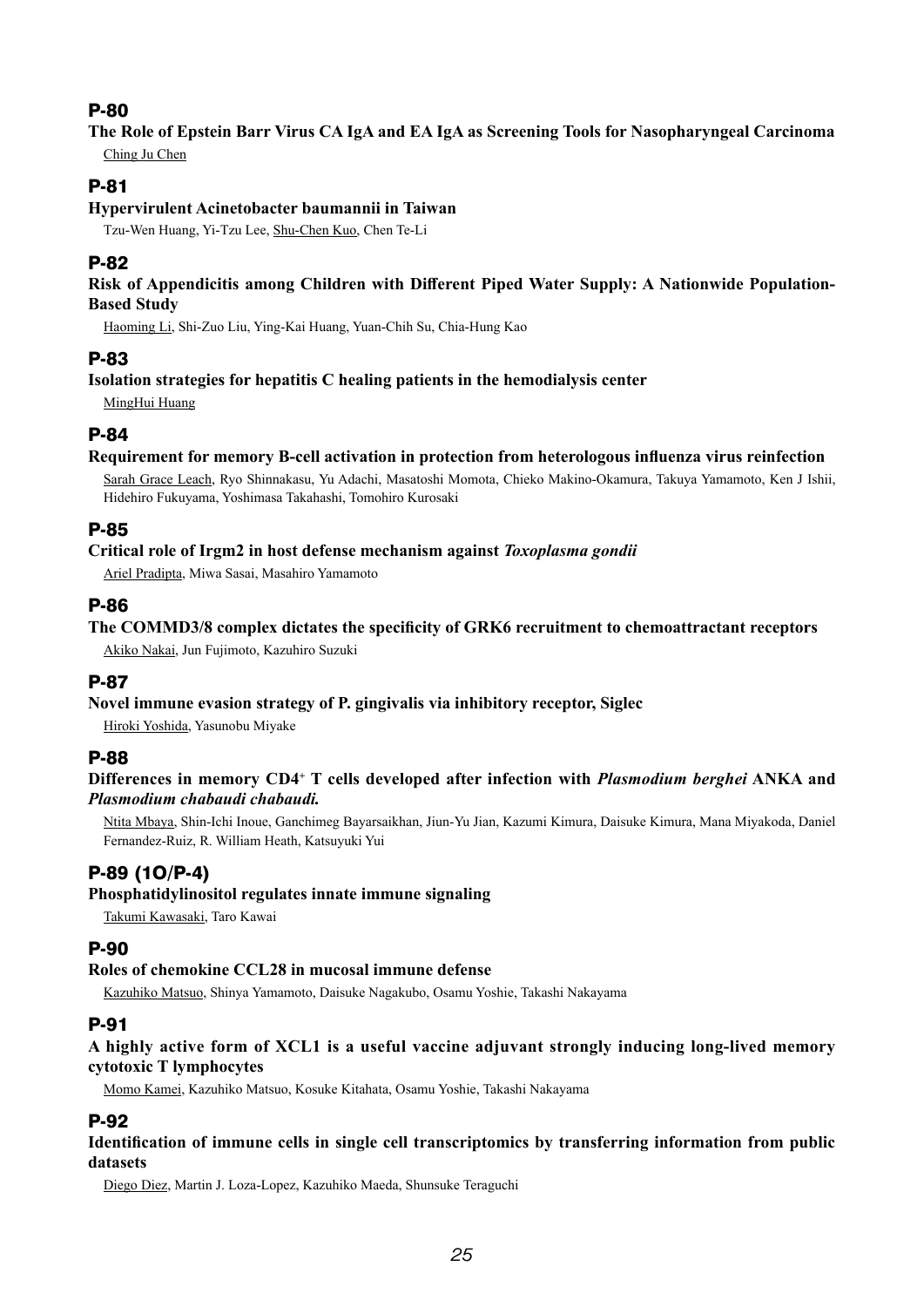### **The Role of Epstein Barr Virus CA IgA and EA IgA as Screening Tools for Nasopharyngeal Carcinoma** Ching Ju Chen

# P-81

#### **Hypervirulent Acinetobacter baumannii in Taiwan**

Tzu-Wen Huang, Yi-Tzu Lee, Shu-Chen Kuo, Chen Te-Li

# P-82

#### **Risk of Appendicitis among Children with Different Piped Water Supply: A Nationwide Population-Based Study**

Haoming Li, Shi-Zuo Liu, Ying-Kai Huang, Yuan-Chih Su, Chia-Hung Kao

# P-83

#### **Isolation strategies for hepatitis C healing patients in the hemodialysis center**

MingHui Huang

# P-84

#### **Requirement for memory B-cell activation in protection from heterologous influenza virus reinfection**

Sarah Grace Leach, Ryo Shinnakasu, Yu Adachi, Masatoshi Momota, Chieko Makino-Okamura, Takuya Yamamoto, Ken J Ishii, Hidehiro Fukuyama, Yoshimasa Takahashi, Tomohiro Kurosaki

# P-85

#### **Critical role of Irgm2 in host defense mechanism against** *Toxoplasma gondii*

Ariel Pradipta, Miwa Sasai, Masahiro Yamamoto

### P-86

**The COMMD3/8 complex dictates the specificity of GRK6 recruitment to chemoattractant receptors** Akiko Nakai, Jun Fujimoto, Kazuhiro Suzuki

# P-87

#### **Novel immune evasion strategy of P. gingivalis via inhibitory receptor, Siglec**

Hiroki Yoshida, Yasunobu Miyake

# P-88

#### **Differences in memory CD4+ T cells developed after infection with** *Plasmodium berghei* **ANKA and**  *Plasmodium chabaudi chabaudi.*

Ntita Mbaya, Shin-Ichi Inoue, Ganchimeg Bayarsaikhan, Jiun-Yu Jian, Kazumi Kimura, Daisuke Kimura, Mana Miyakoda, Daniel Fernandez-Ruiz, R. William Heath, Katsuyuki Yui

# P-89 (1O/P-4)

#### **Phosphatidylinositol regulates innate immune signaling**

Takumi Kawasaki, Taro Kawai

# P-90

#### **Roles of chemokine CCL28 in mucosal immune defense**

Kazuhiko Matsuo, Shinya Yamamoto, Daisuke Nagakubo, Osamu Yoshie, Takashi Nakayama

# P-91

**A highly active form of XCL1 is a useful vaccine adjuvant strongly inducing long-lived memory cytotoxic T lymphocytes**

Momo Kamei, Kazuhiko Matsuo, Kosuke Kitahata, Osamu Yoshie, Takashi Nakayama

# P-92

#### **Identification of immune cells in single cell transcriptomics by transferring information from public datasets**

Diego Diez, Martin J. Loza-Lopez, Kazuhiko Maeda, Shunsuke Teraguchi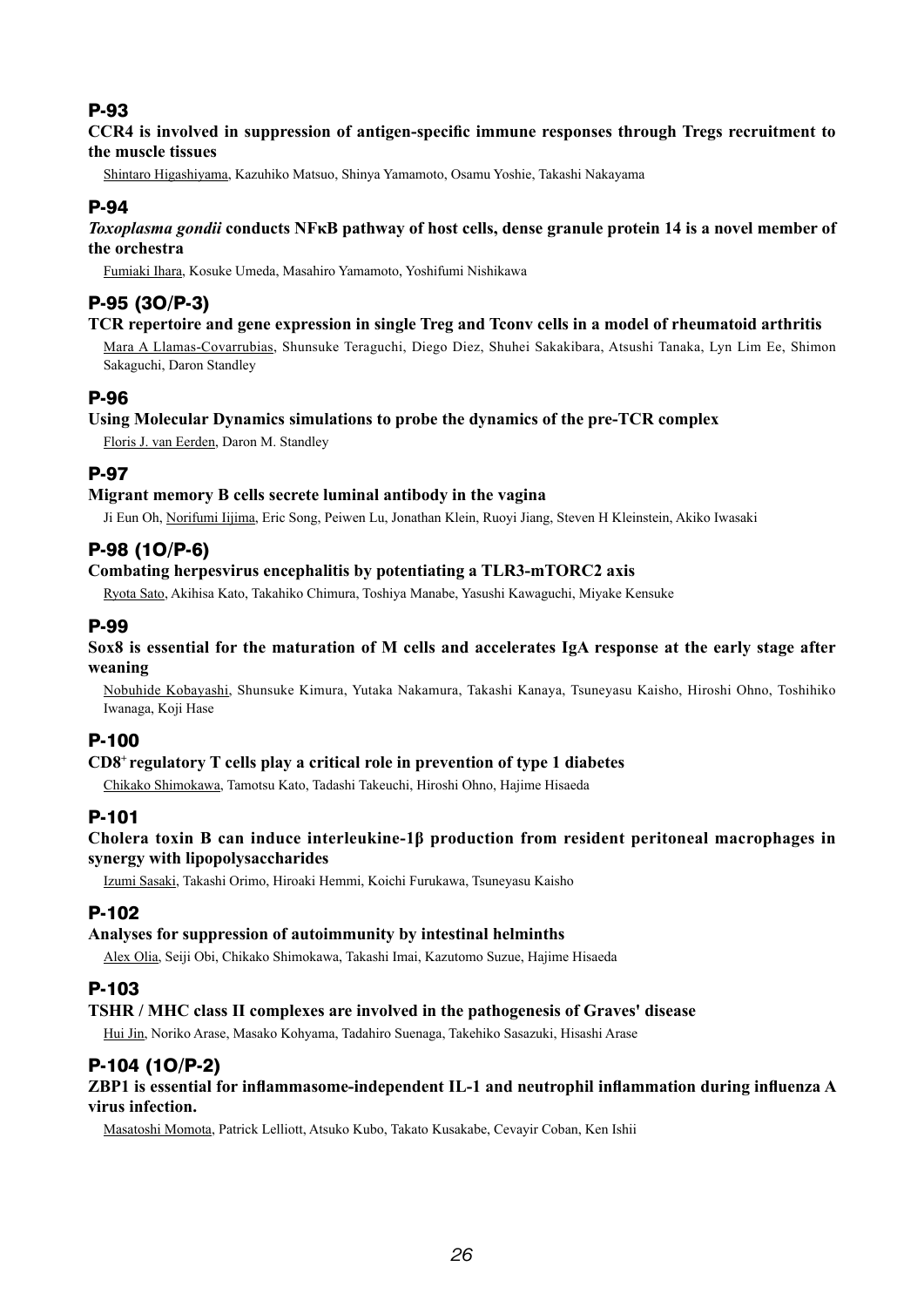#### **CCR4 is involved in suppression of antigen-specific immune responses through Tregs recruitment to the muscle tissues**

Shintaro Higashiyama, Kazuhiko Matsuo, Shinya Yamamoto, Osamu Yoshie, Takashi Nakayama

# P-94

#### *Toxoplasma gondii* **conducts NFκB pathway of host cells, dense granule protein 14 is a novel member of the orchestra**

Fumiaki Ihara, Kosuke Umeda, Masahiro Yamamoto, Yoshifumi Nishikawa

# P-95 (3O/P-3)

#### **TCR repertoire and gene expression in single Treg and Tconv cells in a model of rheumatoid arthritis**

Mara A Llamas-Covarrubias, Shunsuke Teraguchi, Diego Diez, Shuhei Sakakibara, Atsushi Tanaka, Lyn Lim Ee, Shimon Sakaguchi, Daron Standley

# P-96

#### **Using Molecular Dynamics simulations to probe the dynamics of the pre-TCR complex**

Floris J. van Eerden, Daron M. Standley

# P-97

#### **Migrant memory B cells secrete luminal antibody in the vagina**

Ji Eun Oh, Norifumi Iijima, Eric Song, Peiwen Lu, Jonathan Klein, Ruoyi Jiang, Steven H Kleinstein, Akiko Iwasaki

# P-98 (1O/P-6)

#### **Combating herpesvirus encephalitis by potentiating a TLR3-mTORC2 axis**

Ryota Sato, Akihisa Kato, Takahiko Chimura, Toshiya Manabe, Yasushi Kawaguchi, Miyake Kensuke

### P-99

#### **Sox8 is essential for the maturation of M cells and accelerates IgA response at the early stage after weaning**

Nobuhide Kobayashi, Shunsuke Kimura, Yutaka Nakamura, Takashi Kanaya, Tsuneyasu Kaisho, Hiroshi Ohno, Toshihiko Iwanaga, Koji Hase

# P-100

#### **CD8+ regulatory T cells play a critical role in prevention of type 1 diabetes**

Chikako Shimokawa, Tamotsu Kato, Tadashi Takeuchi, Hiroshi Ohno, Hajime Hisaeda

# P-101

#### **Cholera toxin B can induce interleukine-1β production from resident peritoneal macrophages in synergy with lipopolysaccharides**

Izumi Sasaki, Takashi Orimo, Hiroaki Hemmi, Koichi Furukawa, Tsuneyasu Kaisho

# P-102

#### **Analyses for suppression of autoimmunity by intestinal helminths**

Alex Olia, Seiji Obi, Chikako Shimokawa, Takashi Imai, Kazutomo Suzue, Hajime Hisaeda

# P-103

#### **TSHR / MHC class II complexes are involved in the pathogenesis of Graves' disease**

Hui Jin, Noriko Arase, Masako Kohyama, Tadahiro Suenaga, Takehiko Sasazuki, Hisashi Arase

# P-104 (1O/P-2)

#### **ZBP1 is essential for inflammasome-independent IL-1 and neutrophil inflammation during influenza A virus infection.**

Masatoshi Momota, Patrick Lelliott, Atsuko Kubo, Takato Kusakabe, Cevayir Coban, Ken Ishii